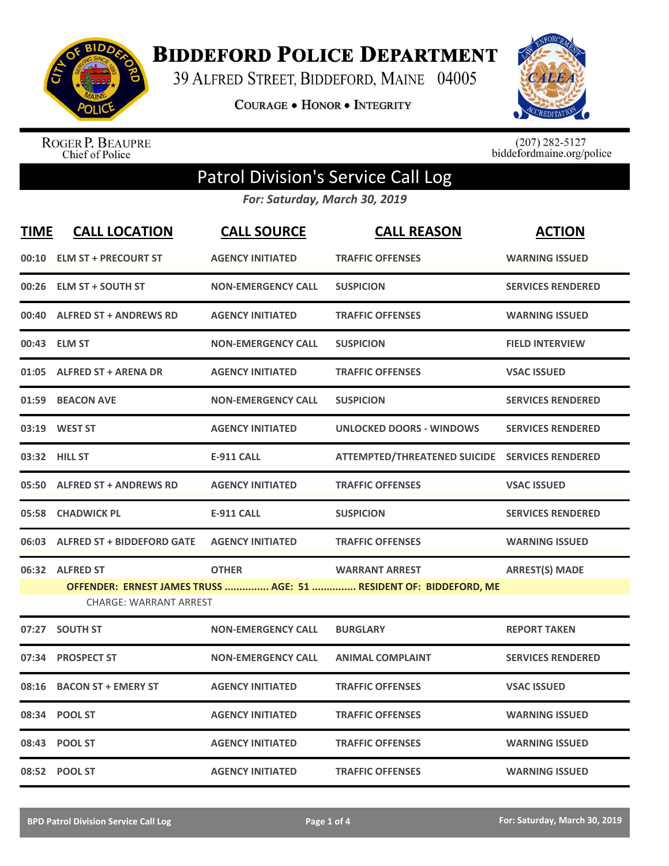

**BIDDEFORD POLICE DEPARTMENT** 

39 ALFRED STREET, BIDDEFORD, MAINE 04005

**COURAGE . HONOR . INTEGRITY** 



ROGER P. BEAUPRE<br>Chief of Police

 $(207)$  282-5127<br>biddefordmaine.org/police

## Patrol Division's Service Call Log

*For: Saturday, March 30, 2019*

| <u>TIME</u> | <b>CALL LOCATION</b>                             | <b>CALL SOURCE</b>        | <b>CALL REASON</b>                                                                         | <b>ACTION</b>            |
|-------------|--------------------------------------------------|---------------------------|--------------------------------------------------------------------------------------------|--------------------------|
|             | 00:10 ELM ST + PRECOURT ST                       | <b>AGENCY INITIATED</b>   | <b>TRAFFIC OFFENSES</b>                                                                    | <b>WARNING ISSUED</b>    |
| 00:26       | <b>ELM ST + SOUTH ST</b>                         | <b>NON-EMERGENCY CALL</b> | <b>SUSPICION</b>                                                                           | <b>SERVICES RENDERED</b> |
|             | 00:40 ALFRED ST + ANDREWS RD                     | <b>AGENCY INITIATED</b>   | <b>TRAFFIC OFFENSES</b>                                                                    | <b>WARNING ISSUED</b>    |
|             | 00:43 ELM ST                                     | <b>NON-EMERGENCY CALL</b> | <b>SUSPICION</b>                                                                           | <b>FIELD INTERVIEW</b>   |
|             | 01:05 ALFRED ST + ARENA DR                       | <b>AGENCY INITIATED</b>   | <b>TRAFFIC OFFENSES</b>                                                                    | <b>VSAC ISSUED</b>       |
|             | 01:59 BEACON AVE                                 | <b>NON-EMERGENCY CALL</b> | <b>SUSPICION</b>                                                                           | <b>SERVICES RENDERED</b> |
|             | 03:19 WEST ST                                    | <b>AGENCY INITIATED</b>   | <b>UNLOCKED DOORS - WINDOWS</b>                                                            | <b>SERVICES RENDERED</b> |
|             | 03:32 HILL ST                                    | <b>E-911 CALL</b>         | ATTEMPTED/THREATENED SUICIDE SERVICES RENDERED                                             |                          |
|             | 05:50 ALFRED ST + ANDREWS RD                     | <b>AGENCY INITIATED</b>   | <b>TRAFFIC OFFENSES</b>                                                                    | <b>VSAC ISSUED</b>       |
|             | 05:58 CHADWICK PL                                | <b>E-911 CALL</b>         | <b>SUSPICION</b>                                                                           | <b>SERVICES RENDERED</b> |
|             | 06:03 ALFRED ST + BIDDEFORD GATE                 | <b>AGENCY INITIATED</b>   | <b>TRAFFIC OFFENSES</b>                                                                    | <b>WARNING ISSUED</b>    |
|             | 06:32 ALFRED ST<br><b>CHARGE: WARRANT ARREST</b> | <b>OTHER</b>              | <b>WARRANT ARREST</b><br>OFFENDER: ERNEST JAMES TRUSS  AGE: 51  RESIDENT OF: BIDDEFORD, ME | <b>ARREST(S) MADE</b>    |
|             | 07:27 SOUTH ST                                   | <b>NON-EMERGENCY CALL</b> | <b>BURGLARY</b>                                                                            | <b>REPORT TAKEN</b>      |
| 07:34       | <b>PROSPECT ST</b>                               | <b>NON-EMERGENCY CALL</b> | <b>ANIMAL COMPLAINT</b>                                                                    | <b>SERVICES RENDERED</b> |
| 08:16       | <b>BACON ST + EMERY ST</b>                       | <b>AGENCY INITIATED</b>   | <b>TRAFFIC OFFENSES</b>                                                                    | <b>VSAC ISSUED</b>       |
| 08:34       | <b>POOL ST</b>                                   | <b>AGENCY INITIATED</b>   | <b>TRAFFIC OFFENSES</b>                                                                    | <b>WARNING ISSUED</b>    |
| 08:43       | <b>POOL ST</b>                                   | <b>AGENCY INITIATED</b>   | <b>TRAFFIC OFFENSES</b>                                                                    | <b>WARNING ISSUED</b>    |
|             | 08:52 POOL ST                                    | <b>AGENCY INITIATED</b>   | <b>TRAFFIC OFFENSES</b>                                                                    | <b>WARNING ISSUED</b>    |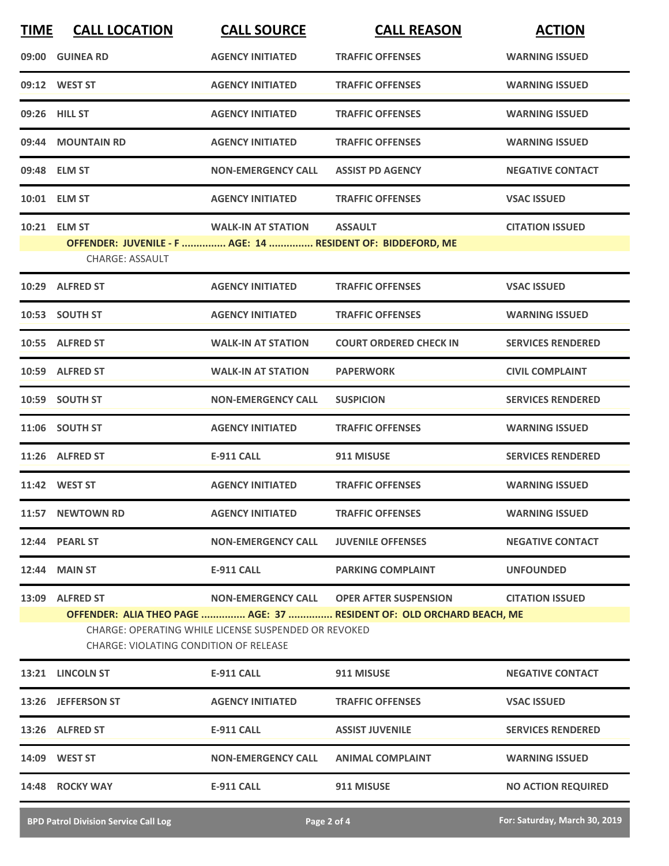| <b>TIME</b> | <b>CALL LOCATION</b>                                                                                                                                                                                                                                                    | <b>CALL SOURCE</b>        | <b>CALL REASON</b>            | <b>ACTION</b>             |  |
|-------------|-------------------------------------------------------------------------------------------------------------------------------------------------------------------------------------------------------------------------------------------------------------------------|---------------------------|-------------------------------|---------------------------|--|
|             | 09:00 GUINEA RD                                                                                                                                                                                                                                                         | <b>AGENCY INITIATED</b>   | <b>TRAFFIC OFFENSES</b>       | <b>WARNING ISSUED</b>     |  |
|             | 09:12 WEST ST                                                                                                                                                                                                                                                           | <b>AGENCY INITIATED</b>   | <b>TRAFFIC OFFENSES</b>       | <b>WARNING ISSUED</b>     |  |
|             | 09:26 HILL ST                                                                                                                                                                                                                                                           | <b>AGENCY INITIATED</b>   | <b>TRAFFIC OFFENSES</b>       | <b>WARNING ISSUED</b>     |  |
|             | 09:44 MOUNTAIN RD                                                                                                                                                                                                                                                       | <b>AGENCY INITIATED</b>   | <b>TRAFFIC OFFENSES</b>       | <b>WARNING ISSUED</b>     |  |
|             | 09:48 ELM ST                                                                                                                                                                                                                                                            | <b>NON-EMERGENCY CALL</b> | <b>ASSIST PD AGENCY</b>       | <b>NEGATIVE CONTACT</b>   |  |
|             | 10:01 ELM ST                                                                                                                                                                                                                                                            | <b>AGENCY INITIATED</b>   | <b>TRAFFIC OFFENSES</b>       | <b>VSAC ISSUED</b>        |  |
|             | 10:21 ELM ST<br>OFFENDER: JUVENILE - F  AGE: 14  RESIDENT OF: BIDDEFORD, ME<br><b>CHARGE: ASSAULT</b>                                                                                                                                                                   | <b>WALK-IN AT STATION</b> | <b>ASSAULT</b>                | <b>CITATION ISSUED</b>    |  |
|             | 10:29 ALFRED ST                                                                                                                                                                                                                                                         | <b>AGENCY INITIATED</b>   | <b>TRAFFIC OFFENSES</b>       | <b>VSAC ISSUED</b>        |  |
|             | 10:53 SOUTH ST                                                                                                                                                                                                                                                          | <b>AGENCY INITIATED</b>   | <b>TRAFFIC OFFENSES</b>       | <b>WARNING ISSUED</b>     |  |
|             | 10:55 ALFRED ST                                                                                                                                                                                                                                                         | <b>WALK-IN AT STATION</b> | <b>COURT ORDERED CHECK IN</b> | <b>SERVICES RENDERED</b>  |  |
|             | 10:59 ALFRED ST                                                                                                                                                                                                                                                         | <b>WALK-IN AT STATION</b> | <b>PAPERWORK</b>              | <b>CIVIL COMPLAINT</b>    |  |
|             | 10:59 SOUTH ST                                                                                                                                                                                                                                                          | <b>NON-EMERGENCY CALL</b> | <b>SUSPICION</b>              | <b>SERVICES RENDERED</b>  |  |
|             | 11:06 SOUTH ST                                                                                                                                                                                                                                                          | <b>AGENCY INITIATED</b>   | <b>TRAFFIC OFFENSES</b>       | <b>WARNING ISSUED</b>     |  |
|             | 11:26 ALFRED ST                                                                                                                                                                                                                                                         | <b>E-911 CALL</b>         | 911 MISUSE                    | <b>SERVICES RENDERED</b>  |  |
|             | 11:42 WEST ST                                                                                                                                                                                                                                                           | <b>AGENCY INITIATED</b>   | <b>TRAFFIC OFFENSES</b>       | <b>WARNING ISSUED</b>     |  |
|             | 11:57 NEWTOWN RD                                                                                                                                                                                                                                                        | <b>AGENCY INITIATED</b>   | <b>TRAFFIC OFFENSES</b>       | <b>WARNING ISSUED</b>     |  |
|             | 12:44 PEARL ST                                                                                                                                                                                                                                                          | <b>NON-EMERGENCY CALL</b> | <b>JUVENILE OFFENSES</b>      | <b>NEGATIVE CONTACT</b>   |  |
|             | <b>12:44 MAIN ST</b>                                                                                                                                                                                                                                                    | E-911 CALL                | <b>PARKING COMPLAINT</b>      | <b>UNFOUNDED</b>          |  |
|             | 13:09 ALFRED ST<br>NON-EMERGENCY CALL OPER AFTER SUSPENSION<br><b>CITATION ISSUED</b><br>OFFENDER: ALIA THEO PAGE  AGE: 37  RESIDENT OF: OLD ORCHARD BEACH, ME<br>CHARGE: OPERATING WHILE LICENSE SUSPENDED OR REVOKED<br><b>CHARGE: VIOLATING CONDITION OF RELEASE</b> |                           |                               |                           |  |
|             | 13:21 LINCOLN ST                                                                                                                                                                                                                                                        | <b>E-911 CALL</b>         | 911 MISUSE                    | <b>NEGATIVE CONTACT</b>   |  |
|             | 13:26 JEFFERSON ST                                                                                                                                                                                                                                                      | <b>AGENCY INITIATED</b>   | <b>TRAFFIC OFFENSES</b>       | <b>VSAC ISSUED</b>        |  |
|             | 13:26 ALFRED ST                                                                                                                                                                                                                                                         | E-911 CALL                | <b>ASSIST JUVENILE</b>        | <b>SERVICES RENDERED</b>  |  |
|             | 14:09 WEST ST                                                                                                                                                                                                                                                           | <b>NON-EMERGENCY CALL</b> | <b>ANIMAL COMPLAINT</b>       | <b>WARNING ISSUED</b>     |  |
|             | 14:48 ROCKY WAY                                                                                                                                                                                                                                                         | E-911 CALL                | 911 MISUSE                    | <b>NO ACTION REQUIRED</b> |  |
|             |                                                                                                                                                                                                                                                                         |                           |                               |                           |  |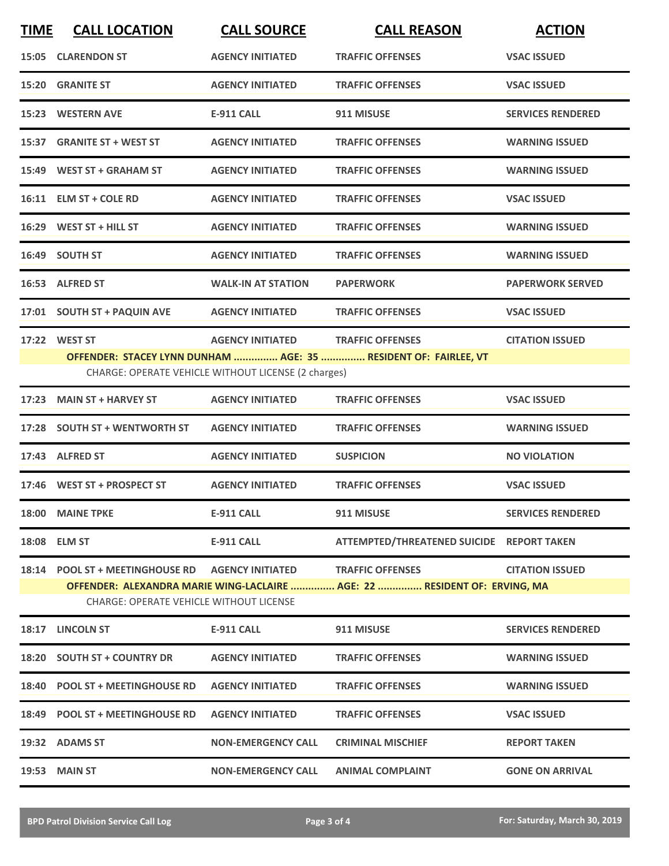| <b>TIME</b> | <b>CALL LOCATION</b>                                                                                                        | <b>CALL SOURCE</b>        | <b>CALL REASON</b>                        | <b>ACTION</b>            |  |  |
|-------------|-----------------------------------------------------------------------------------------------------------------------------|---------------------------|-------------------------------------------|--------------------------|--|--|
|             | 15:05 CLARENDON ST                                                                                                          | <b>AGENCY INITIATED</b>   | <b>TRAFFIC OFFENSES</b>                   | <b>VSAC ISSUED</b>       |  |  |
|             | 15:20 GRANITE ST                                                                                                            | <b>AGENCY INITIATED</b>   | <b>TRAFFIC OFFENSES</b>                   | <b>VSAC ISSUED</b>       |  |  |
|             | 15:23 WESTERN AVE                                                                                                           | <b>E-911 CALL</b>         | 911 MISUSE                                | <b>SERVICES RENDERED</b> |  |  |
|             | 15:37 GRANITE ST + WEST ST                                                                                                  | <b>AGENCY INITIATED</b>   | <b>TRAFFIC OFFENSES</b>                   | <b>WARNING ISSUED</b>    |  |  |
|             | 15:49 WEST ST + GRAHAM ST                                                                                                   | <b>AGENCY INITIATED</b>   | <b>TRAFFIC OFFENSES</b>                   | <b>WARNING ISSUED</b>    |  |  |
|             | 16:11 ELM ST + COLE RD                                                                                                      | <b>AGENCY INITIATED</b>   | <b>TRAFFIC OFFENSES</b>                   | <b>VSAC ISSUED</b>       |  |  |
|             | 16:29 WEST ST + HILL ST                                                                                                     | <b>AGENCY INITIATED</b>   | <b>TRAFFIC OFFENSES</b>                   | <b>WARNING ISSUED</b>    |  |  |
|             | 16:49 SOUTH ST                                                                                                              | <b>AGENCY INITIATED</b>   | <b>TRAFFIC OFFENSES</b>                   | <b>WARNING ISSUED</b>    |  |  |
|             | 16:53 ALFRED ST                                                                                                             | <b>WALK-IN AT STATION</b> | <b>PAPERWORK</b>                          | <b>PAPERWORK SERVED</b>  |  |  |
|             | 17:01 SOUTH ST + PAQUIN AVE AGENCY INITIATED                                                                                |                           | <b>TRAFFIC OFFENSES</b>                   | <b>VSAC ISSUED</b>       |  |  |
|             | 17:22 WEST ST                                                                                                               | <b>AGENCY INITIATED</b>   | <b>TRAFFIC OFFENSES</b>                   | <b>CITATION ISSUED</b>   |  |  |
|             | OFFENDER: STACEY LYNN DUNHAM  AGE: 35  RESIDENT OF: FAIRLEE, VT<br>CHARGE: OPERATE VEHICLE WITHOUT LICENSE (2 charges)      |                           |                                           |                          |  |  |
|             | 17:23 MAIN ST + HARVEY ST                                                                                                   | <b>AGENCY INITIATED</b>   | <b>TRAFFIC OFFENSES</b>                   | <b>VSAC ISSUED</b>       |  |  |
|             | 17:28 SOUTH ST + WENTWORTH ST                                                                                               | <b>AGENCY INITIATED</b>   | <b>TRAFFIC OFFENSES</b>                   | <b>WARNING ISSUED</b>    |  |  |
|             | 17:43 ALFRED ST                                                                                                             | <b>AGENCY INITIATED</b>   | <b>SUSPICION</b>                          | <b>NO VIOLATION</b>      |  |  |
|             | 17:46 WEST ST + PROSPECT ST                                                                                                 | <b>AGENCY INITIATED</b>   | <b>TRAFFIC OFFENSES</b>                   | <b>VSAC ISSUED</b>       |  |  |
|             | 18:00 MAINE TPKE                                                                                                            | <b>E-911 CALL</b>         | 911 MISUSE                                | <b>SERVICES RENDERED</b> |  |  |
|             | 18:08 ELM ST                                                                                                                | <b>E-911 CALL</b>         | ATTEMPTED/THREATENED SUICIDE REPORT TAKEN |                          |  |  |
|             | 18:14 POOL ST + MEETINGHOUSE RD     AGENCY INITIATED       TRAFFIC OFFENSES                                                 |                           |                                           | <b>CITATION ISSUED</b>   |  |  |
|             | OFFENDER: ALEXANDRA MARIE WING-LACLAIRE  AGE: 22  RESIDENT OF: ERVING, MA<br><b>CHARGE: OPERATE VEHICLE WITHOUT LICENSE</b> |                           |                                           |                          |  |  |
|             | 18:17 LINCOLN ST                                                                                                            | E-911 CALL                | 911 MISUSE                                | <b>SERVICES RENDERED</b> |  |  |
|             | 18:20 SOUTH ST + COUNTRY DR                                                                                                 | <b>AGENCY INITIATED</b>   | <b>TRAFFIC OFFENSES</b>                   | <b>WARNING ISSUED</b>    |  |  |
|             | 18:40 POOL ST + MEETINGHOUSE RD                                                                                             | <b>AGENCY INITIATED</b>   | <b>TRAFFIC OFFENSES</b>                   | <b>WARNING ISSUED</b>    |  |  |
|             | 18:49 POOL ST + MEETINGHOUSE RD AGENCY INITIATED                                                                            |                           | <b>TRAFFIC OFFENSES</b>                   | <b>VSAC ISSUED</b>       |  |  |
|             | 19:32 ADAMS ST                                                                                                              | <b>NON-EMERGENCY CALL</b> | <b>CRIMINAL MISCHIEF</b>                  | <b>REPORT TAKEN</b>      |  |  |
|             | <b>19:53 MAIN ST</b>                                                                                                        | <b>NON-EMERGENCY CALL</b> | <b>ANIMAL COMPLAINT</b>                   | <b>GONE ON ARRIVAL</b>   |  |  |